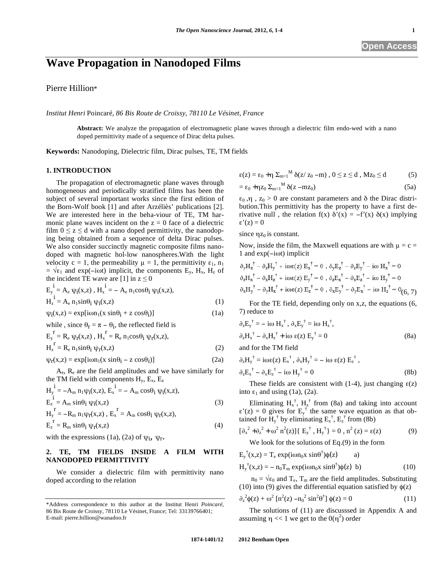# **Wave Propagation in Nanodoped Films**

Pierre Hillion\*

*Institut Henri* Poincaré*, 86 Bis Route de Croissy, 78110 Le Vésinet, France* 

**Abstract:** We analyze the propagation of electromagnetic plane waves through a dielectric film endo-wed with a nano doped permittivity made of a sequence of Dirac delta pulses.

**Keywords:** Nanodoping, Dielectric film, Dirac pulses, TE, TM fields

# **1. INTRODUCTION**

The propagation of electromagnetic plane waves through homogeneous and periodically stratified films has been the subject of several important works since the first edition of the Born-Wolf book [1] and after Arzéliès' publications [2]. We are interested here in the beha-viour of TE, TM harmonic plane waves incident on the  $z = 0$  face of a dielectric film  $0 \le z \le d$  with a nano doped permittivity, the nanodoping being obtained from a sequence of delta Dirac pulses. We also consider succinctly magnetic composite films nanodoped with magnetic hol-low nanospheres.With the light velocity  $c = 1$ , the permeability  $\mu = 1$ , the permittivity  $\varepsilon_1$ ,  $n_1$  $= \sqrt{\epsilon_1}$  and exp(-iost) implicit, the components E<sub>y</sub>, H<sub>x</sub>, H<sub>z</sub> of the incident TE wave are [1] in  $z \le 0$ 

$$
E_y^i = A_e \psi_i(x, z), H_x^i = - A_e n_1 \cos \theta_i \psi_i(x, z),
$$
  
\n
$$
H_z^i = A_e n_1 \sin \theta_i \psi_i(x, z)
$$
\n(1)  
\n
$$
\psi_i(x, z) = \exp[i \omega n_1(x \sin \theta_i + z \cos \theta_i)]
$$
\n(1a)

while, since  $\theta_r = \pi - \theta_i$ , the reflected field is

$$
E_y^{\ \ r} = R_e \psi_r(x, z) , H_x^{\ \ r} = R_e n_1 \cos \theta_i \psi_r(x, z),
$$
  
\n
$$
H_z^{\ \ r} = R_e n_1 \sin \theta_i \psi_r(x, z)
$$
\n(2)

$$
\psi_{\mathbf{r}}(\mathbf{x}, \mathbf{z}) = \exp[i\omega n_1(\mathbf{x} \sin \theta_i - \mathbf{z} \cos \theta_i)] \tag{2a}
$$

Ae, Re are the field amplitudes and we have similarly for the TM field with components  $H_y$ ,  $E_x$ ,  $E_z$ 

$$
H_{y}^{i} = -A_{m} n_{1} \psi_{i}(x, z), E_{x}^{i} = -A_{m} \cos\theta_{i} \psi_{i}(x, z),
$$
  
\n
$$
E_{z}^{i} = A_{m} \sin\theta_{i} \psi_{i}(x, z)
$$
  
\n
$$
H_{y}^{r} = -R_{m} n_{1} \psi_{r}(x, z), E_{x}^{r} = A_{m} \cos\theta_{i} \psi_{r}(x, z),
$$
  
\n
$$
E_{z}^{r} = R_{m} \sin\theta_{i} \psi_{r}(x, z)
$$
\n(4)

with the expressions (1a), (2a) of  $\psi_i$ ,  $\psi_r$ .

# **2. TE, TM FIELDS INSIDE A FILM WITH NANODOPED PERMITTIVITY**

We consider a dielectric film with permittivity nano doped according to the relation

$$
\epsilon(z) = \epsilon_0 + \eta \sum_{m=1}^{M} \delta(z / z_0 - m) , 0 \le z \le d , Mz_0 \le d \tag{5}
$$

$$
= \varepsilon_0 + \eta z_0 \Sigma_{m=1}^{M} \delta(z - m z_0)
$$
 (5a)

 $\varepsilon_0$ ,  $\eta$ ,  $z_0 > 0$  are constant parameters and  $\delta$  the Dirac distribution.This permittivity has the property to have a first derivative null, the relation  $f(x) \delta'(x) = -f'(x) \delta(x)$  implying  $\epsilon'(z) = 0$ 

since  $\eta z_0$  is constant.

 $\sim$ 

Now, inside the film, the Maxwell equations are with  $\mu = c =$  $1$  and  $exp(-i\omega t)$  implicit

$$
\partial_y H_z^{\dagger} - \partial_z H_y^{\dagger} + i\omega \epsilon(z) E_x^{\dagger} = 0 , \partial_y E_z^{\dagger} - \partial_z E_y^{\dagger} - i\omega H_x^{\dagger} = 0
$$
  
\n
$$
\partial_z H_x^{\dagger} - \partial_x H_z^{\dagger} + i\omega \epsilon(z) E_y^{\dagger} = 0 , \partial_z E_x^{\dagger} - \partial_x E_z^{\dagger} - i\omega H_y^{\dagger} = 0
$$
  
\n
$$
\partial_x H_y^{\dagger} - \partial_y H_x^{\dagger} + i\omega \epsilon(z) E_z^{\dagger} = 0 , \partial_x E_y^{\dagger} - \partial_y E_x^{\dagger} - i\omega H_z^{\dagger} = 0
$$
  
\n(6, 7)

For the TE field, depending only on x,z, the equations (6, 7) reduce to

$$
\partial_z E_y^{\dagger} = -i\omega H_x^{\dagger}, \ \partial_x E_y^{\dagger} = i\omega H_z^{\dagger}, \n\partial_z H_x^{\dagger} - \partial_x H_z^{\dagger} + i\omega \epsilon(z) E_y^{\dagger} = 0
$$
\n(8a)

and for the TM field

$$
\partial_z H_y^{\dagger} = i\omega \epsilon(z) E_x^{\dagger}, \partial_x H_y^{\dagger} = -i\omega \epsilon(z) E_z^{\dagger},
$$
  

$$
\partial_z E_x^{\dagger} - \partial_x E_z^{\dagger} - i\omega H_y^{\dagger} = 0
$$
 (8b)

These fields are consistent with  $(1-4)$ , just changing  $\varepsilon(z)$ into  $\varepsilon_1$  and using (1a), (2a).

Eliminating  $H_x^{\dagger}$ ,  $H_z^{\dagger}$  from (8a) and taking into account  $\varepsilon'(z) = 0$  gives for  $E_y^{\dagger}$  the same wave equation as that obtained for  $H_y^{\dagger}$  by eliminating  $E_x^{\dagger}$ ,  $E_z^{\dagger}$  from (8b)

$$
[\partial_x^2 + \partial_z^2 + \omega^2 n^2(z)]\{E_y^{\dagger}, H_y^{\dagger}\} = 0, n^2(z) = \epsilon(z)
$$
 (9)

We look for the solutions of Eq.(9) in the form

 $E_y^{\dagger}(x,z) = T_e \exp(i\omega n_0 x \sin\theta^{\dagger}) \phi(z)$  a)

$$
H_y^{\dagger}(x,z) = -\; n_0 T_m \exp(i\omega n_0 x \; \sin\theta^{\dagger}) \phi(z) \; b)
$$
 (10)

 $n_0 = \sqrt{\epsilon_0}$  and  $T_e$ ,  $T_m$  are the field amplitudes. Substituting (10) into (9) gives the differential equation satisfied by  $\phi(z)$ 

$$
\partial_z^2 \phi(z) + \omega^2 \left[ n^2(z) - n_0^2 \sin^2 \theta^{\dagger} \right] \phi(z) = 0 \tag{11}
$$

The solutions of (11) are discusssed in Appendix A and assuming  $\eta \ll 1$  we get to the  $0(\eta^2)$  order

<sup>\*</sup>Address correspondence to this author at the Institut Henri *Poincaré*, 86 Bis Route de Croissy, 78110 Le Vésinet, France; Tel: 33139766401; E-mail: pierre.hillion@wanadoo.fr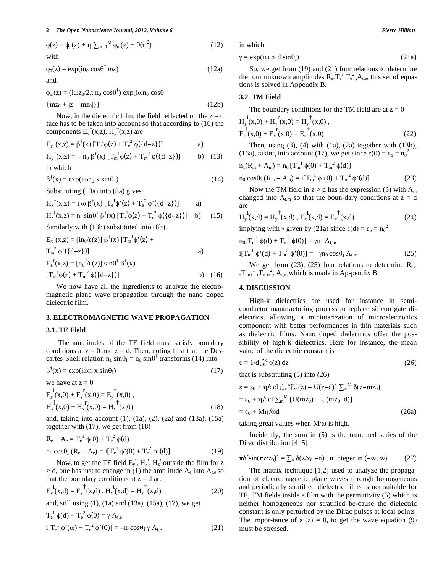#### **2** *The Open Nanoscience Journal, 2012, Volume 6 Pierre Hillion*

$$
\phi(z) = \phi_0(z) + \eta \sum_{m=1}^{M} \phi_m(z) + O(\eta^2)
$$
\nwith

\n
$$
(12)
$$

$$
\phi_0(z) = \exp(i n_0 \cos \theta^\dagger \omega z) \tag{12a}
$$

and

 $\phi_m(z) = (i\omega z_0/2\pi n_0 \cos\theta^{\dagger}) \exp[i\omega n_0 \cos\theta^{\dagger}]$  ${mg_0 + |z - mz_0|}$  (12b)

Now, in the dielectric film, the field reflected on the 
$$
z = d
$$
.

face has to be taken into account so that according to (10) the components  $E_y^{\dagger}(x,z)$ ,  $H_y^{\dagger}(x,z)$  are

$$
E_y^{\dagger}(x, z) = \beta^{\dagger}(x) \left[ T_e^{\dagger} \phi(z) + T_e^2 \phi(\{d-z\}) \right] \tag{1}
$$

$$
H_y^{\dagger}(x,z) = - n_0 \beta^{\dagger}(x) [T_m^{\dagger} \phi(z) + T_m^2 \phi({d-z})]
$$
 b) (13)

in which

$$
\beta^{\dagger}(x) = \exp(i\omega n_0 x \sin \theta^{\dagger})
$$
 (14)

Substituting (13a) into (8a) gives

$$
H_x^{\dagger}(x,z) = i \omega \beta^{\dagger}(x) \left[ T_e^{\phantom{e}1} \phi'(z) + T_e^{\phantom{e}2} \phi'( \{ d-z \}) \right] \qquad a)
$$

$$
H_z^{\dagger}(x, z) = n_0 \sin \theta^{\dagger} \beta^{\dagger}(x) \left[ T_e^{\dagger} \phi(z) + T_e^{\;2} \phi(\{d-z\}) \right] \quad b) \tag{15}
$$

Similarly with (13b) substituted into (8b)

$$
E_x^{\dagger}(x,z) = [\text{in}_0/\epsilon(z)] \beta^{\dagger}(x) [T_m^{\dagger} \phi'(z) + T_m^2 \phi'(z)]
$$
  
\n
$$
T_m^2 \phi'(z) = [\text{in}_0^2/\epsilon(z)] \sin \theta^{\dagger} \beta^{\dagger}(x)
$$
  
\n
$$
E_z^{\dagger}(x,z) = [\text{in}_0^2/\epsilon(z)] \sin \theta^{\dagger} \beta^{\dagger}(x)
$$

$$
[T_m^{-1}\phi(z) + T_m^{-2}\phi({d-z})]
$$
 b) (16)

We now have all the ingredients to analyze the electromagnetic plane wave propagation through the nano doped dielectric film.

## **3. ELECTROMAGNETIC WAVE PROPAGATION**

#### **3.1. TE Field**

The amplitudes of the TE field must satisfy boundary conditions at  $z = 0$  and  $z = d$ . Then, noting first that the Descartes-Snell relation  $n_1 \sin\theta_i = n_0 \sin\theta^\dagger$  transforms (14) into

$$
\beta^{\dagger}(x) = \exp(i\omega n_1 x \sin \theta_i) \tag{17}
$$

we have at  $z = 0$ 

$$
E_y^i(x,0) + E_y^r(x,0) = E_y^{\dagger}(x,0),
$$
  
\n
$$
H_x^i(x,0) + H_x^r(x,0) = H_x^{\dagger}(x,0)
$$
\n(18)

and, taking into account (1), (1a), (2), (2a) and (13a), (15a) together with (17), we get from (18)

$$
R_e + A_e = T_e^1 \phi(0) + T_e^2 \phi(d)
$$
  
\n
$$
n_1 \cos\theta_i (R_e - A_e) = i[T_e^1 \phi'(0) + T_e^2 \phi'(d)]
$$
\n(19)

Now, to get the TE field  $E_y^t$ ,  $H_x^t$ ,  $H_z^t$  outside the film for z  $>$  d, one has just to change in (1) the amplitude  $A_e$  into  $A_{t,e}$  so that the boundary conditions at  $z = d$  are

$$
E_y^t(x,d) = E_y^{\dagger}(x,d)
$$
,  $H_x^t(x,d) = H_x^{\dagger}(x,d)$  (20)

and, still using (1), (1a) and (13a), (15a), (17), we get

$$
T_e^1 \phi(d) + T_e^2 \phi(0) = \gamma A_{t,e}
$$
  
if  $T_e^1 \phi'(\omega) + T_e^2 \phi'(0) = -n_1 \cos \theta_i \gamma A_{t,e}$  (21)

in which

$$
\gamma = \exp(i\omega n_1 d \sin\theta_i) \tag{21a}
$$

So, we get from (19) and (21) four relations to determine the four unknown amplitudes  $R_{e}T_{e}^{1}T_{e}^{2}A_{t,e}$ , this set of equations is solved in Appendix B.

#### **3.2. TM Field**

The boundary conditions for the TM field are at  $z = 0$ 

$$
H_{y}^{i}(x,0) + H_{y}^{r}(x,0) = H_{y}^{\dagger}(x,0),
$$
  
\n
$$
E_{x}^{i}(x,0) + E_{x}^{r}(x,0) = E_{x}^{\dagger}(x,0)
$$
\n(22)

Then, using  $(3)$ ,  $(4)$  with  $(1a)$ ,  $(2a)$  together with  $(13b)$ , (16a), taking into account (17), we get since  $\epsilon(0) = \epsilon_0 = n_0^2$ 

$$
n_1(R_m + A_m) = n_0 [T_m^{-1} \phi(0) + T_m^{-2} \phi(d)]
$$

 $n_0 \cos\theta_i (R_m - A_m) = i[T_m^1 \phi'(0) + T_m^2 \phi'(d)]$  (23)

Now the TM field in  $z > d$  has the expression (3) with  $A_m$ changed into  $A_{t,m}$  so that the boun-dary conditions at  $z = d$ are  $\ddot{\phantom{1}}$ 

$$
H_y^t(x,d) = H_y^{\dagger}(x,d), E_x^t(x,d) = E_x^{\dagger}(x,d)
$$
 (24)

implying with  $\gamma$  given by (21a) since  $\epsilon(d) = \epsilon_0 = n_0^2$ 

$$
n_0[T_m^{-1} \phi(d) + T_m^{-2} \phi(0)] = \gamma n_1 A_{t,m}
$$
  
 
$$
i[T_m^{-1} \phi'(d) + T_m^{-2} \phi'(0)] = -\gamma n_0 \cos\theta_i A_{t,m}
$$
 (25)

We get from (23), (25) four relations to determine  $R_m$ ,  $,T_m$ ,<sup>1</sup>,  $T_m$ ,<sup>2</sup>,  $A_{t,m}$  which is made in Ap-pendix B

## **4. DISCUSSION**

High-k dielectrics are used for instance in semiconductor manufacturing process to replace silicon gate dielectrics, allowing a miniutarization of microelectronics component with better performances in thin materials such as dielectric films. Nano doped dielectrics offer the possibility of high-k dielectrics. Here for instance, the mean value of the dielectric constant is

$$
\epsilon = 1/d \int_0^d \epsilon(z) dz
$$
 (26)

that is substituting  $(5)$  into  $(26)$ 

$$
\varepsilon = \varepsilon_0 + \eta/\omega d \int_{-\infty}^{\infty} [U(z) - U(z-d)] \sum_m^M \delta(z-mz_0)
$$
  
=  $\varepsilon_0 + \eta/\omega d \sum_m^M [U(mz_0) - U(mz_0-d)]$   
=  $\varepsilon_0 + M\eta/\omega d$  (26a)

taking great values when  $M/\omega$  is high.

Incidently, the sum in (5) is the truncated series of the Dirac distribution [4, 5]

$$
\pi\delta[\sin(\pi z/z_0)] = \sum_n \delta(z/z_0 - n), \text{ n integer in } (-\infty, \infty) \tag{27}
$$

The matrix technique [1,2] used to analyze the propagation of electromagnetic plane waves through homogeneous and periodically stratified dielectric films is not suitable for TE, TM fields inside a film with the permittivity (5) which is neither homogeneous nor stratified be-cause the dielectric constant is only perturbed by the Dirac pulses at local points. The impor-tance of  $\varepsilon'(z) = 0$ , to get the wave equation (9) must be stressed.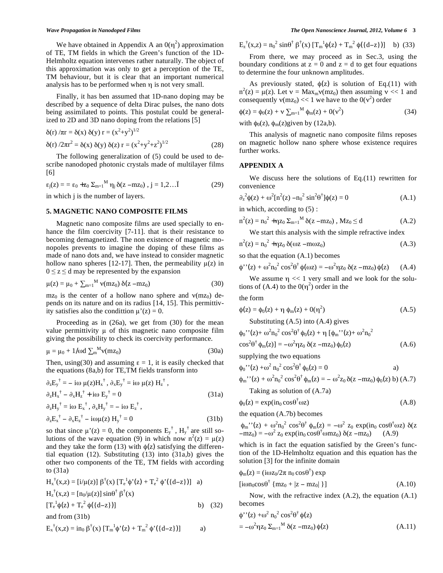We have obtained in Appendix A an  $0(\eta^2)$  approximation of TE, TM fields in which the Green's function of the 1D-Helmholtz equation intervenes rather naturally. The object of this approximation was only to get a perception of the TE, TM behaviour, but it is clear that an important numerical analysis has to be performed when  $\eta$  is not very small.

Finally, it has ben assumed that 1D-nano doping may be described by a sequence of delta Dirac pulses, the nano dots being assimilated to points. This postulat could be generalized to 2D and 3D nano doping from the relations [5]

$$
\delta(r) / \pi r = \delta(x) \delta(y) r = (x^2 + y^2)^{1/2}
$$
  
 
$$
\delta(r) / 2\pi r^2 = \delta(x) \delta(y) \delta(z) r = (x^2 + y^2 + z^2)^{1/2}
$$
 (28)

The following generalization of (5) could be used to describe nanodoped photonic crystals made of multilayer films [6]

$$
\varepsilon_j(z) = \varepsilon_0 + z_0 \Sigma_{m=1}^M \eta_j \, \delta(z - m z_0) , j = 1, 2... \tilde{l}
$$
 (29)

in which j is the number of layers.

#### **5. MAGNETIC NANO COMPOSITE FILMS**

Magnetic nano composite films are used specially to enhance the film coercivity [7-11]. that is their resistance to becoming demagnetized. The non existence of magnetic monopoles prevents to imagine the doping of these films as made of nano dots and, we have instead to consider magnetic hollow nano spheres [12-17]. Then, the permeability  $\mu(z)$  in  $0 \le z \le d$  may be represented by the expansion

$$
\mu(z) = \mu_0 + \sum_{m=1}^{M} \nu(mz_0) \delta(z - mz_0)
$$
 (30)

 $mz_0$  is the center of a hollow nano sphere and  $v(mz_0)$  depends on its nature and on its radius [14, 15]. This permittivity satisfies also the condittion  $\mu'(z) = 0$ .

Proceeding as in (26a), we get from (30) for the mean value permittivity  $\mu$  of this magnetic nano composite film giving the possibility to check its coercivity performance.

$$
\mu = \mu_0 + 1/\omega d \sum_{m}^{M} v(mz_0)
$$
 (30a)

Then, using (30) and assuming  $\varepsilon = 1$ , it is easily checked that the equations (8a,b) for TE,TM fields transform into

$$
\partial_z E_y^{\dagger} = -i\omega \mu(z)H_x^{\dagger}, \partial_x E_y^{\dagger} = i\omega \mu(z) H_z^{\dagger},
$$
  
\n
$$
\partial_z H_x^{\dagger} - \partial_x H_z^{\dagger} + i\omega E_y^{\dagger} = 0
$$
\n(31a)  
\n
$$
\partial_z H_y^{\dagger} = i\omega E_x^{\dagger}, \partial_x H_y^{\dagger} = -i\omega E_z^{\dagger},
$$
  
\n
$$
\partial_z E_x^{\dagger} - \partial_x E_z^{\dagger} - i\omega \mu(z) H_y^{\dagger} = 0
$$
\n(31b)

so that since  $\mu'(z) = 0$ , the components  $E_y^{\dagger}$ ,  $H_y^{\dagger}$  are still solutions of the wave equation (9) in which now  $n^2(z) = \mu(z)$ and they take the form (13) with  $\phi(z)$  satisfying the differential equation (12). Substituting (13) into (31a,b) gives the other two components of the TE, TM fields with according to (31a)

$$
H_x^{\dagger}(x,z) = [i/\mu(z)] \beta^{\dagger}(x) [T_e^{\dagger} \phi'(z) + T_e^2 \phi'( {d-z} )] \text{ a}
$$
  
\n
$$
H_z^{\dagger}(x,z) = [n_0/\mu(z)] \sin\theta^{\dagger} \beta^{\dagger}(x)
$$
  
\n
$$
[T_e^{\dagger} \phi(z) + T_e^2 \phi({{d-z}})] \text{ b}
$$
 (32)

and from (31b)

$$
E_x^{\dagger}(x,z) = in_0 \beta^{\dagger}(x) [T_m^{\{1\}} \phi'(z) + T_m^{\{2\}} \phi'(\{d-z\})]
$$

$$
E_z^{\dagger}(x,z) = n_0^2 \sin\theta^{\dagger} \beta^{\dagger}(x) \left[T_m^{\dagger} \phi(z) + T_m^{\dagger} \phi(\{d-z\})\right] \quad b) \tag{33}
$$

From there, we may proceed as in Sec.3, using the boundary conditions at  $z = 0$  and  $z = d$  to get four equations to determine the four unknown amplitudes.

As previously stated,  $\phi(z)$  is solution of Eq.(11) with  $n^2(z) = \mu(z)$ . Let  $v = \text{Max}_{m}v(\text{m}z_0)$  then assuming  $v \ll 1$  and consequently  $v(mz_0) \ll 1$  we have to the  $0(v^2)$  order

$$
\phi(z) = \phi_0(z) + v \sum_{m=1}^{M} \phi_m(z) + O(v^2)
$$
\n(34)

with  $\phi_0(z)$ ,  $\phi_m(z)$  given by (12a,b).

This analysis of magnetic nano composite films reposes on magnetic hollow nano sphere whose existence requires further works.

## **APPENDIX A**

We discuss here the solutions of Eq.(11) rewritten for convenience

$$
\partial_z^2 \phi(z) + \omega^2 \left[ n^2(z) - n_0^2 \sin^2 \theta^\dagger \right] \phi(z) = 0 \tag{A.1}
$$

in which, according to (5) :

$$
n^{2}(z) = n_{0}^{2} + \eta z_{0} \Sigma_{m=1}^{M} \delta(z - mz_{0}), Mz_{0} \le d \qquad (A.2)
$$

We start this analysis with the simple refractive index

$$
n^{2}(z) = n_{0}^{2} + \eta z_{0} \, \delta(\omega z - m\omega z_{0})
$$
 (A.3)

so that the equation (A.1) becomes

$$
\phi''(z) + \omega^2 n_0^2 \cos^2 \theta^\dagger \phi(\omega z) = -\omega^2 \eta z_0 \, \delta(z - m z_0) \phi(z) \qquad (A.4)
$$

We assume  $\eta \ll 1$  very small and we look for the solutions of (A.4) to the  $0(\eta^2)$  order in the

the form

φ

$$
\phi(z) = \phi_0(z) + \eta \phi_m(z) + 0(\eta^2)
$$
\nSubstituting (A.5) into (A.4) gives

$$
\phi_0" (z) + \omega^2 n_0^2 \cos^2 \theta^\dagger \phi_0(z) + \eta \left[ \phi_m" (z) + \omega^2 n_0^2 \right]
$$
  
\n
$$
\cos^2 \theta^\dagger \phi_m(z) = -\omega^2 \eta z_0 \delta(z - m z_0) \phi_0(z)
$$
 (A.6)

supplying the two equations

$$
_{0}
$$
''(z) + $\omega^{2}$  n<sub>0</sub><sup>2</sup> cos<sup>2</sup>θ<sup>†</sup> φ<sub>0</sub>(z) = 0 a)

$$
\phi_{m}^{\, \prime\, \prime}(z) + \omega^2 n_0^{\, 2} \cos^2 \theta^{\dagger} \phi_m(z) = - \omega^2 z_0 \, \delta(z - m z_0) \phi_0(z) \, b) \, (A.7)
$$

Taking as solution of (A.7a)

$$
\phi_0(z) = \exp(i n_0 \cos \theta^\dagger \omega z) \tag{A.8}
$$

the equation (A.7b) becomes

$$
\begin{array}{l} \varphi_{m}^{\phantom{m} \prime \prime}(z)+\omega^2 n_0^{\phantom{0} 2}\cos^2\!\theta^\dagger\,\varphi_{m}(z)=-\omega^2\,\,z_0\,\exp(in_0\,\cos\!\theta^\dagger \omega z)\,\,\delta(z-\!m z_0)=-\omega^2\,\,z_0\,\exp(in_0\,\cos\!\theta^\dagger \omega m z_0)\,\,\delta(z-\!m z_0)\ \ \, (A.9) \end{array}
$$

which is in fact the equation satisfied by the Green's function of the 1D-Helmholtz equation and this equation has the solution [3] for the infinite domain

$$
\phi_{m}(z) = (i\omega z_{0}/2\pi n_{0} \cos \theta^{\dagger}) \exp
$$
  
\n
$$
[i\omega n_{0} \cos \theta^{\dagger} \{mz_{0} + |z - mz_{0}| \}]
$$
\n(A.10)

Now, with the refractive index (A.2), the equation (A.1) becomes

$$
\phi^{\prime\prime}(z) + \omega^2 n_0^2 \cos^2 \theta^\dagger \phi(z)
$$
  
= -\omega^2 \eta z\_0 \Sigma\_{m=1}^M \delta(z - m z\_0) \phi(z) \qquad (A.11)